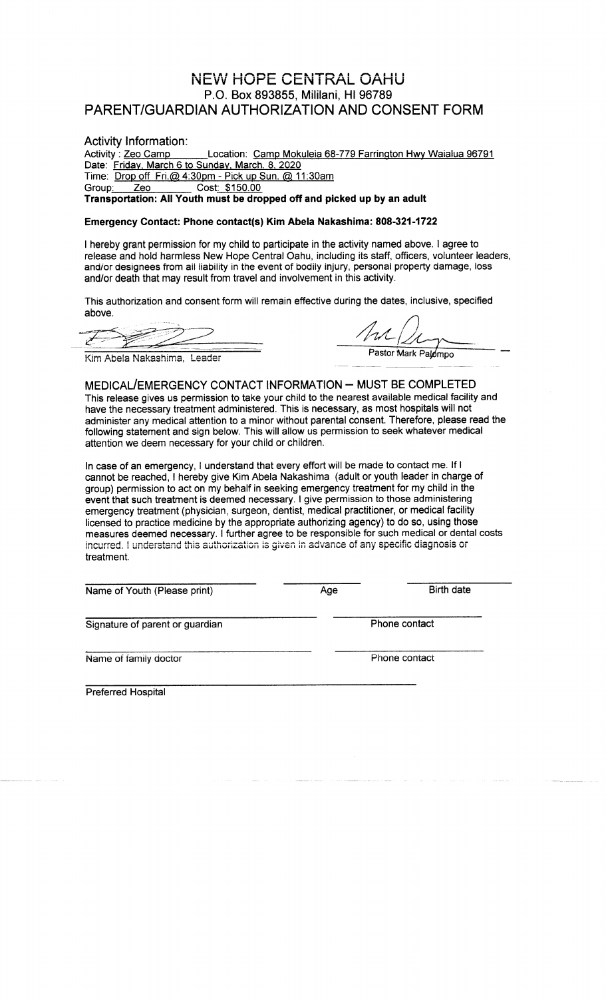## **NEW HOPE CENTRAL OAHU** P.O. Box 893855, Mililani, HI 96789 PARENT/GUARDIAN AUTHORIZATION AND CONSENT FORM

## Activity Information:

Activity: Zeo Camp Location: Camp Mokuleia 68-779 Farrington Hwy Waialua 96791 Date: Friday, March 6 to Sunday, March. 8, 2020 Time: Drop off Fri.@ 4:30pm - Pick up Sun. @ 11:30am Group: Cost: \$150.00 Zeo Transportation: All Youth must be dropped off and picked up by an adult

## Emergency Contact: Phone contact(s) Kim Abela Nakashima: 808-321-1722

I hereby grant permission for my child to participate in the activity named above. I agree to release and hold harmless New Hope Central Oahu, including its staff, officers, volunteer leaders, and/or designees from all liability in the event of bodily injury, personal property damage, loss and/or death that may result from travel and involvement in this activity.

This authorization and consent form will remain effective during the dates, inclusive, specified above.

 $\mathbb{Z}$ 

Pastor Mark Palompo

Kim Abela Nakashima, Leader

MEDICAL/EMERGENCY CONTACT INFORMATION - MUST BE COMPLETED This release gives us permission to take your child to the nearest available medical facility and have the necessary treatment administered. This is necessary, as most hospitals will not administer any medical attention to a minor without parental consent. Therefore, please read the following statement and sign below. This will allow us permission to seek whatever medical attention we deem necessary for your child or children.

In case of an emergency, I understand that every effort will be made to contact me. If I cannot be reached, I hereby give Kim Abela Nakashima (adult or youth leader in charge of group) permission to act on my behalf in seeking emergency treatment for my child in the event that such treatment is deemed necessary. I give permission to those administering emergency treatment (physician, surgeon, dentist, medical practitioner, or medical facility licensed to practice medicine by the appropriate authorizing agency) to do so, using those measures deemed necessary. I further agree to be responsible for such medical or dental costs incurred. I understand this authorization is given in advance of any specific diagnosis or treatment.

| Name of Youth (Please print)    | Age           | Birth date |
|---------------------------------|---------------|------------|
| Signature of parent or guardian | Phone contact |            |
| Name of family doctor           | Phone contact |            |
| <b>Preferred Hospital</b>       |               |            |